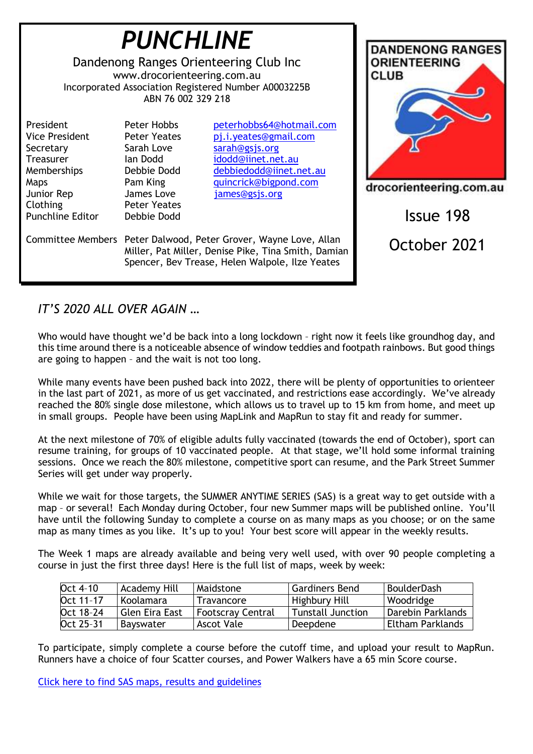

## *IT'S 2020 ALL OVER AGAIN …*

Who would have thought we'd be back into a long lockdown – right now it feels like groundhog day, and this time around there is a noticeable absence of window teddies and footpath rainbows. But good things are going to happen – and the wait is not too long.

While many events have been pushed back into 2022, there will be plenty of opportunities to orienteer in the last part of 2021, as more of us get vaccinated, and restrictions ease accordingly. We've already reached the 80% single dose milestone, which allows us to travel up to 15 km from home, and meet up in small groups. People have been using MapLink and MapRun to stay fit and ready for summer.

At the next milestone of 70% of eligible adults fully vaccinated (towards the end of October), sport can resume training, for groups of 10 vaccinated people. At that stage, we'll hold some informal training sessions. Once we reach the 80% milestone, competitive sport can resume, and the Park Street Summer Series will get under way properly.

While we wait for those targets, the SUMMER ANYTIME SERIES (SAS) is a great way to get outside with a map – or several! Each Monday during October, four new Summer maps will be published online. You'll have until the following Sunday to complete a course on as many maps as you choose; or on the same map as many times as you like. It's up to you! Your best score will appear in the weekly results.

The Week 1 maps are already available and being very well used, with over 90 people completing a course in just the first three days! Here is the full list of maps, week by week:

| Oct 4-10         | <b>Academy Hill</b> | Maidstone                | <b>Gardiners Bend</b>    | l BoulderDash       |
|------------------|---------------------|--------------------------|--------------------------|---------------------|
| <b>Oct 11-17</b> | Koolamara           | Travancore               | Highbury Hill            | Woodridge           |
| Oct 18-24        | Glen Eira East      | <b>Footscray Central</b> | <b>Tunstall Junction</b> | I Darebin Parklands |
| Oct 25-31        | Bayswater           | Ascot Vale               | Deepdene                 | Eltham Parklands    |

To participate, simply complete a course before the cutoff time, and upload your result to MapRun. Runners have a choice of four Scatter courses, and Power Walkers have a 65 min Score course.

[Click here to find SAS maps, results and guidelines](https://drive.google.com/drive/u/1/folders/1_7HtYCANPL_SaiHCzCWuserXbKJtlr8L)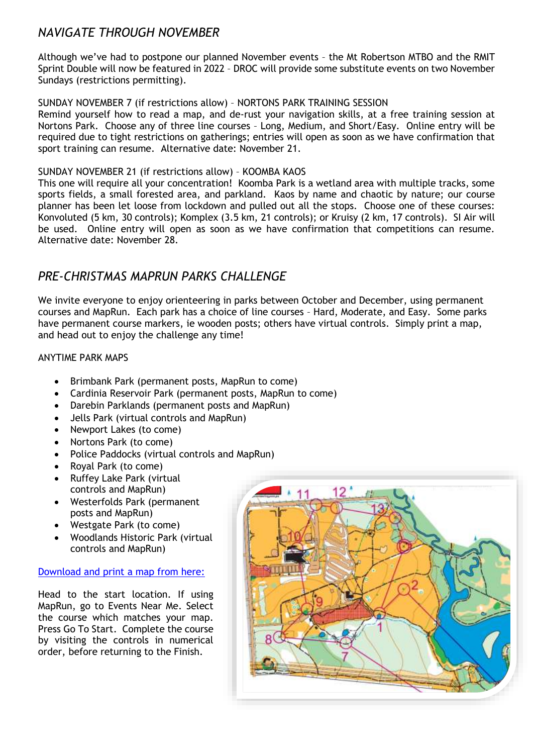# *NAVIGATE THROUGH NOVEMBER*

Although we've had to postpone our planned November events – the Mt Robertson MTBO and the RMIT Sprint Double will now be featured in 2022 – DROC will provide some substitute events on two November Sundays (restrictions permitting).

## SUNDAY NOVEMBER 7 (if restrictions allow) – NORTONS PARK TRAINING SESSION

Remind yourself how to read a map, and de-rust your navigation skills, at a free training session at Nortons Park. Choose any of three line courses – Long, Medium, and Short/Easy. Online entry will be required due to tight restrictions on gatherings; entries will open as soon as we have confirmation that sport training can resume. Alternative date: November 21.

## SUNDAY NOVEMBER 21 (if restrictions allow) – KOOMBA KAOS

This one will require all your concentration! Koomba Park is a wetland area with multiple tracks, some sports fields, a small forested area, and parkland. Kaos by name and chaotic by nature; our course planner has been let loose from lockdown and pulled out all the stops. Choose one of these courses: Konvoluted (5 km, 30 controls); Komplex (3.5 km, 21 controls); or Kruisy (2 km, 17 controls). SI Air will be used. Online entry will open as soon as we have confirmation that competitions can resume. Alternative date: November 28.

## *PRE-CHRISTMAS MAPRUN PARKS CHALLENGE*

We invite everyone to enjoy orienteering in parks between October and December, using permanent courses and MapRun. Each park has a choice of line courses – Hard, Moderate, and Easy. Some parks have permanent course markers, ie wooden posts; others have virtual controls. Simply print a map, and head out to enjoy the challenge any time!

## ANYTIME PARK MAPS

- Brimbank Park (permanent posts, MapRun to come)
- Cardinia Reservoir Park (permanent posts, MapRun to come)
- Darebin Parklands (permanent posts and MapRun)
- Jells Park (virtual controls and MapRun)
- Newport Lakes (to come)
- Nortons Park (to come)
- Police Paddocks (virtual controls and MapRun)
- Royal Park (to come)
- Ruffey Lake Park (virtual controls and MapRun)
- Westerfolds Park (permanent posts and MapRun)
- Westgate Park (to come)
- Woodlands Historic Park (virtual controls and MapRun)

#### [Download and print a map from here:](https://drive.google.com/drive/folders/1cthmrC8gR1BjDXgomRprhLpRBM_tJmAN)

Head to the start location. If using MapRun, go to Events Near Me. Select the course which matches your map. Press Go To Start. Complete the course by visiting the controls in numerical order, before returning to the Finish.

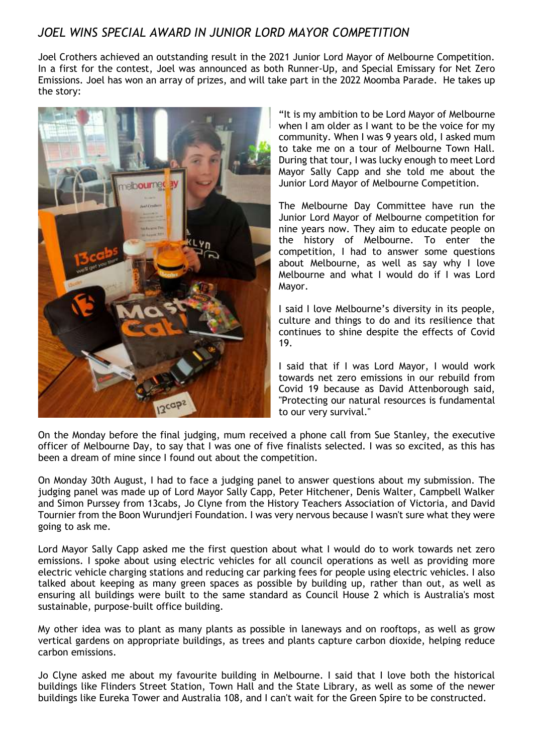## *JOEL WINS SPECIAL AWARD IN JUNIOR LORD MAYOR COMPETITION*

Joel Crothers achieved an outstanding result in the 2021 Junior Lord Mayor of Melbourne Competition. In a first for the contest, Joel was announced as both Runner-Up, and Special Emissary for Net Zero Emissions. Joel has won an array of prizes, and will take part in the 2022 Moomba Parade. He takes up the story:



"It is my ambition to be Lord Mayor of Melbourne when I am older as I want to be the voice for my community. When I was 9 years old, I asked mum to take me on a tour of Melbourne Town Hall. During that tour, I was lucky enough to meet Lord Mayor Sally Capp and she told me about the Junior Lord Mayor of Melbourne Competition.

The Melbourne Day Committee have run the Junior Lord Mayor of Melbourne competition for nine years now. They aim to educate people on the history of Melbourne. To enter the competition, I had to answer some questions about Melbourne, as well as say why I love Melbourne and what I would do if I was Lord Mayor.

I said I love Melbourne's diversity in its people, culture and things to do and its resilience that continues to shine despite the effects of Covid 19.

I said that if I was Lord Mayor, I would work towards net zero emissions in our rebuild from Covid 19 because as David Attenborough said, "Protecting our natural resources is fundamental to our very survival."

On the Monday before the final judging, mum received a phone call from Sue Stanley, the executive officer of Melbourne Day, to say that I was one of five finalists selected. I was so excited, as this has been a dream of mine since I found out about the competition.

On Monday 30th August, I had to face a judging panel to answer questions about my submission. The judging panel was made up of Lord Mayor Sally Capp, Peter Hitchener, Denis Walter, Campbell Walker and Simon Purssey from 13cabs, Jo Clyne from the History Teachers Association of Victoria, and David Tournier from the Boon Wurundjeri Foundation. I was very nervous because I wasn't sure what they were going to ask me.

Lord Mayor Sally Capp asked me the first question about what I would do to work towards net zero emissions. I spoke about using electric vehicles for all council operations as well as providing more electric vehicle charging stations and reducing car parking fees for people using electric vehicles. I also talked about keeping as many green spaces as possible by building up, rather than out, as well as ensuring all buildings were built to the same standard as Council House 2 which is Australia's most sustainable, purpose-built office building.

My other idea was to plant as many plants as possible in laneways and on rooftops, as well as grow vertical gardens on appropriate buildings, as trees and plants capture carbon dioxide, helping reduce carbon emissions.

Jo Clyne asked me about my favourite building in Melbourne. I said that I love both the historical buildings like Flinders Street Station, Town Hall and the State Library, as well as some of the newer buildings like Eureka Tower and Australia 108, and I can't wait for the Green Spire to be constructed.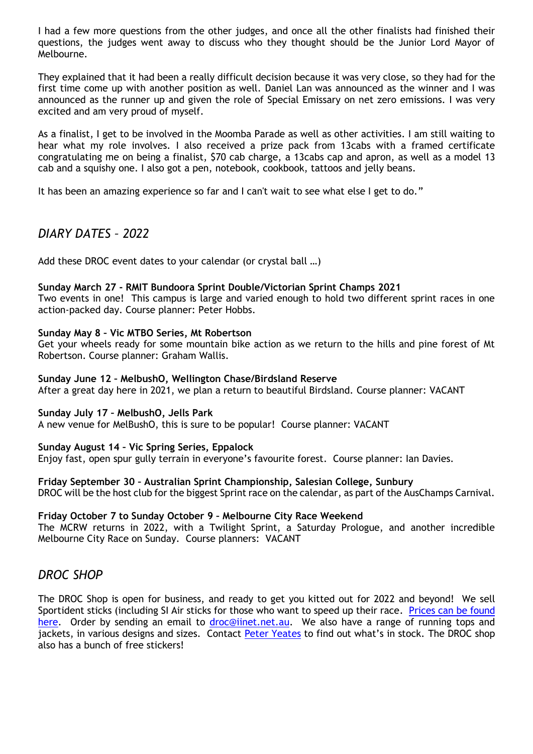I had a few more questions from the other judges, and once all the other finalists had finished their questions, the judges went away to discuss who they thought should be the Junior Lord Mayor of Melbourne.

They explained that it had been a really difficult decision because it was very close, so they had for the first time come up with another position as well. Daniel Lan was announced as the winner and I was announced as the runner up and given the role of Special Emissary on net zero emissions. I was very excited and am very proud of myself.

As a finalist, I get to be involved in the Moomba Parade as well as other activities. I am still waiting to hear what my role involves. I also received a prize pack from 13cabs with a framed certificate congratulating me on being a finalist, \$70 cab charge, a 13cabs cap and apron, as well as a model 13 cab and a squishy one. I also got a pen, notebook, cookbook, tattoos and jelly beans.

It has been an amazing experience so far and I can't wait to see what else I get to do."

## *DIARY DATES – 2022*

Add these DROC event dates to your calendar (or crystal ball …)

#### **Sunday March 27 - RMIT Bundoora Sprint Double/Victorian Sprint Champs 2021**

Two events in one! This campus is large and varied enough to hold two different sprint races in one action-packed day. Course planner: Peter Hobbs.

#### **Sunday May 8 – Vic MTBO Series, Mt Robertson**

Get your wheels ready for some mountain bike action as we return to the hills and pine forest of Mt Robertson. Course planner: Graham Wallis.

#### **Sunday June 12 – MelbushO, Wellington Chase/Birdsland Reserve**

After a great day here in 2021, we plan a return to beautiful Birdsland. Course planner: VACANT

#### **Sunday July 17 – MelbushO, Jells Park**

A new venue for MelBushO, this is sure to be popular! Course planner: VACANT

#### **Sunday August 14 – Vic Spring Series, Eppalock**

Enjoy fast, open spur gully terrain in everyone's favourite forest. Course planner: Ian Davies.

#### **Friday September 30 – Australian Sprint Championship, Salesian College, Sunbury**

DROC will be the host club for the biggest Sprint race on the calendar, as part of the AusChamps Carnival.

#### **Friday October 7 to Sunday October 9 – Melbourne City Race Weekend**

The MCRW returns in 2022, with a Twilight Sprint, a Saturday Prologue, and another incredible Melbourne City Race on Sunday. Course planners: VACANT

## *DROC SHOP*

The DROC Shop is open for business, and ready to get you kitted out for 2022 and beyond! We sell Sportident sticks (including SI Air sticks for those who want to speed up their race. Prices can be found [here.](http://www.drocorienteering.com.au/wordpress/droc-shop/) Order by sending an email to [droc@iinet.net.au.](mailto:droc@iinet.net.au) We also have a range of running tops and jackets, in various designs and sizes. Contact [Peter Yeates](mailto:pj.i.yeates@gmail.com) to find out what's in stock. The DROC shop also has a bunch of free stickers!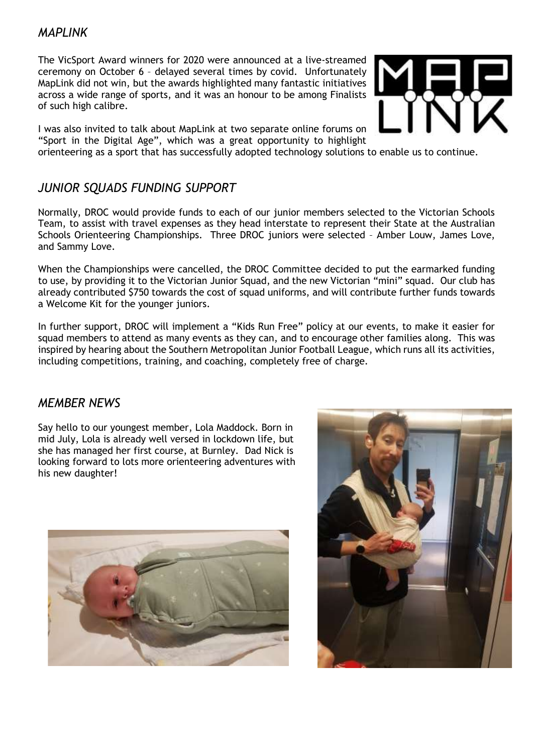## *MAPLINK*

The VicSport Award winners for 2020 were announced at a live-streamed ceremony on October 6 – delayed several times by covid. Unfortunately MapLink did not win, but the awards highlighted many fantastic initiatives across a wide range of sports, and it was an honour to be among Finalists of such high calibre.

I was also invited to talk about MapLink at two separate online forums on "Sport in the Digital Age", which was a great opportunity to highlight



# *JUNIOR SQUADS FUNDING SUPPORT*

Normally, DROC would provide funds to each of our junior members selected to the Victorian Schools Team, to assist with travel expenses as they head interstate to represent their State at the Australian Schools Orienteering Championships. Three DROC juniors were selected – Amber Louw, James Love, and Sammy Love.

When the Championships were cancelled, the DROC Committee decided to put the earmarked funding to use, by providing it to the Victorian Junior Squad, and the new Victorian "mini" squad. Our club has already contributed \$750 towards the cost of squad uniforms, and will contribute further funds towards a Welcome Kit for the younger juniors.

In further support, DROC will implement a "Kids Run Free" policy at our events, to make it easier for squad members to attend as many events as they can, and to encourage other families along. This was inspired by hearing about the Southern Metropolitan Junior Football League, which runs all its activities, including competitions, training, and coaching, completely free of charge.

## *MEMBER NEWS*

Say hello to our youngest member, Lola Maddock. Born in mid July, Lola is already well versed in lockdown life, but she has managed her first course, at Burnley. Dad Nick is looking forward to lots more orienteering adventures with his new daughter!





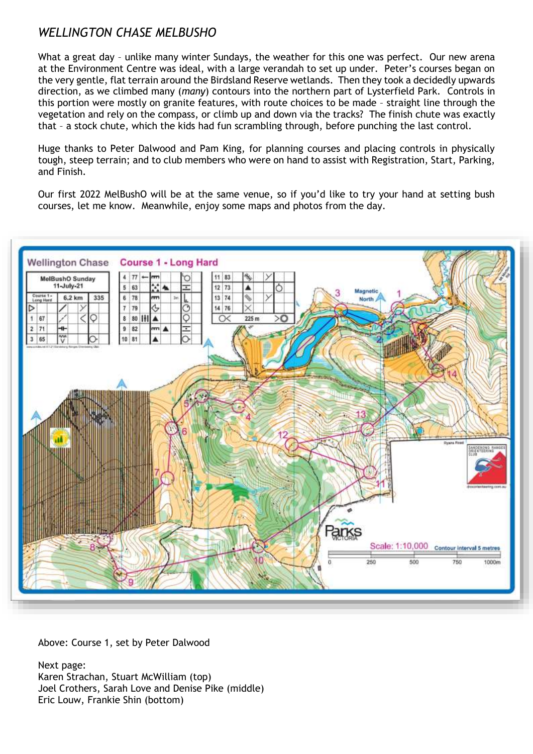## *WELLINGTON CHASE MELBUSHO*

What a great day – unlike many winter Sundays, the weather for this one was perfect. Our new arena at the Environment Centre was ideal, with a large verandah to set up under. Peter's courses began on the very gentle, flat terrain around the Birdsland Reserve wetlands. Then they took a decidedly upwards direction, as we climbed many (*many*) contours into the northern part of Lysterfield Park. Controls in this portion were mostly on granite features, with route choices to be made – straight line through the vegetation and rely on the compass, or climb up and down via the tracks? The finish chute was exactly that – a stock chute, which the kids had fun scrambling through, before punching the last control.

Huge thanks to Peter Dalwood and Pam King, for planning courses and placing controls in physically tough, steep terrain; and to club members who were on hand to assist with Registration, Start, Parking, and Finish.

Our first 2022 MelBushO will be at the same venue, so if you'd like to try your hand at setting bush courses, let me know. Meanwhile, enjoy some maps and photos from the day.



Above: Course 1, set by Peter Dalwood

Next page: Karen Strachan, Stuart McWilliam (top) Joel Crothers, Sarah Love and Denise Pike (middle) Eric Louw, Frankie Shin (bottom)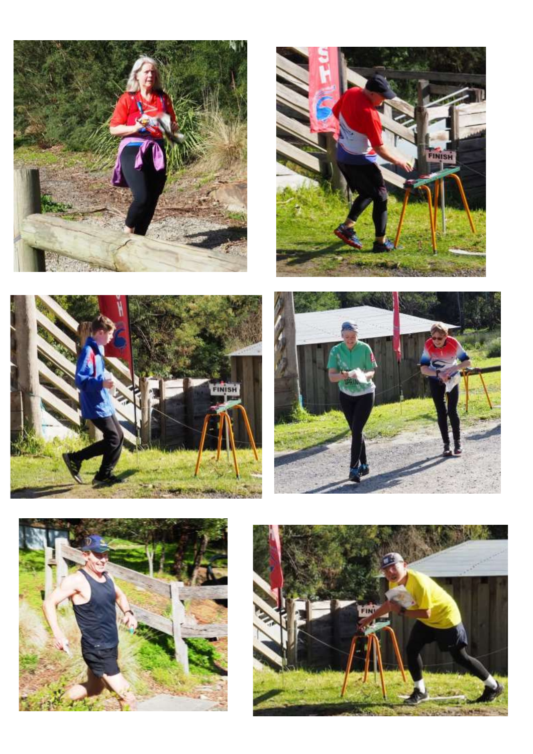









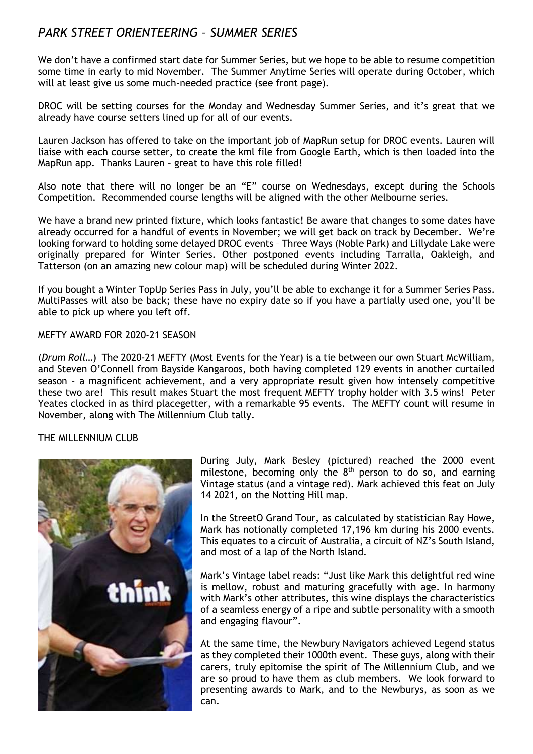## *PARK STREET ORIENTEERING – SUMMER SERIES*

We don't have a confirmed start date for Summer Series, but we hope to be able to resume competition some time in early to mid November. The Summer Anytime Series will operate during October, which will at least give us some much-needed practice (see front page).

DROC will be setting courses for the Monday and Wednesday Summer Series, and it's great that we already have course setters lined up for all of our events.

Lauren Jackson has offered to take on the important job of MapRun setup for DROC events. Lauren will liaise with each course setter, to create the kml file from Google Earth, which is then loaded into the MapRun app. Thanks Lauren – great to have this role filled!

Also note that there will no longer be an "E" course on Wednesdays, except during the Schools Competition. Recommended course lengths will be aligned with the other Melbourne series.

We have a brand new printed fixture, which looks fantastic! Be aware that changes to some dates have already occurred for a handful of events in November; we will get back on track by December. We're looking forward to holding some delayed DROC events – Three Ways (Noble Park) and Lillydale Lake were originally prepared for Winter Series. Other postponed events including Tarralla, Oakleigh, and Tatterson (on an amazing new colour map) will be scheduled during Winter 2022.

If you bought a Winter TopUp Series Pass in July, you'll be able to exchange it for a Summer Series Pass. MultiPasses will also be back; these have no expiry date so if you have a partially used one, you'll be able to pick up where you left off.

MEFTY AWARD FOR 2020-21 SEASON

(*Drum Roll…*) The 2020-21 MEFTY (Most Events for the Year) is a tie between our own Stuart McWilliam, and Steven O'Connell from Bayside Kangaroos, both having completed 129 events in another curtailed season – a magnificent achievement, and a very appropriate result given how intensely competitive these two are! This result makes Stuart the most frequent MEFTY trophy holder with 3.5 wins! Peter Yeates clocked in as third placegetter, with a remarkable 95 events. The MEFTY count will resume in November, along with The Millennium Club tally.

THE MILLENNIUM CLUB



During July, Mark Besley (pictured) reached the 2000 event milestone, becoming only the 8<sup>th</sup> person to do so, and earning Vintage status (and a vintage red). Mark achieved this feat on July 14 2021, on the Notting Hill map.

In the StreetO Grand Tour, as calculated by statistician Ray Howe, Mark has notionally completed 17,196 km during his 2000 events. This equates to a circuit of Australia, a circuit of NZ's South Island, and most of a lap of the North Island.

Mark's Vintage label reads: "Just like Mark this delightful red wine is mellow, robust and maturing gracefully with age. In harmony with Mark's other attributes, this wine displays the characteristics of a seamless energy of a ripe and subtle personality with a smooth and engaging flavour".

At the same time, the Newbury Navigators achieved Legend status as they completed their 1000th event. These guys, along with their carers, truly epitomise the spirit of The Millennium Club, and we are so proud to have them as club members. We look forward to presenting awards to Mark, and to the Newburys, as soon as we can.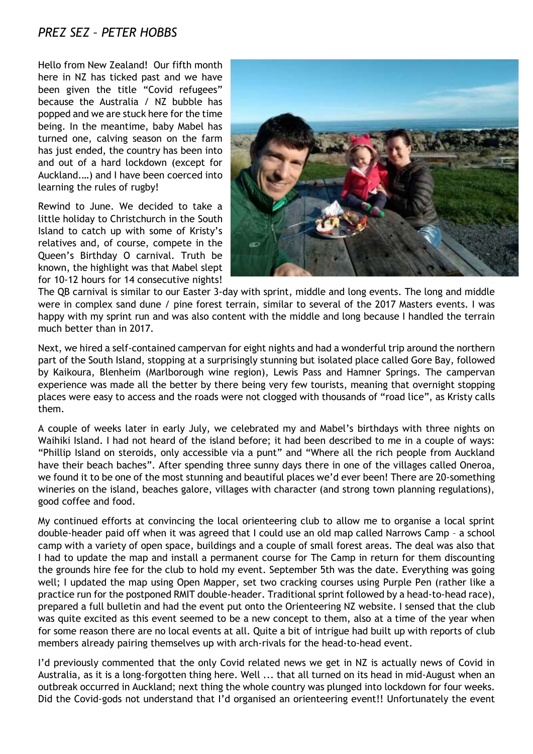## *PREZ SEZ – PETER HOBBS*

Hello from New Zealand! Our fifth month here in NZ has ticked past and we have been given the title "Covid refugees" because the Australia / NZ bubble has popped and we are stuck here for the time being. In the meantime, baby Mabel has turned one, calving season on the farm has just ended, the country has been into and out of a hard lockdown (except for Auckland.…) and I have been coerced into learning the rules of rugby!

Rewind to June. We decided to take a little holiday to Christchurch in the South Island to catch up with some of Kristy's relatives and, of course, compete in the Queen's Birthday O carnival. Truth be known, the highlight was that Mabel slept for 10-12 hours for 14 consecutive nights!



The QB carnival is similar to our Easter 3-day with sprint, middle and long events. The long and middle were in complex sand dune / pine forest terrain, similar to several of the 2017 Masters events. I was happy with my sprint run and was also content with the middle and long because I handled the terrain much better than in 2017.

Next, we hired a self-contained campervan for eight nights and had a wonderful trip around the northern part of the South Island, stopping at a surprisingly stunning but isolated place called Gore Bay, followed by Kaikoura, Blenheim (Marlborough wine region), Lewis Pass and Hamner Springs. The campervan experience was made all the better by there being very few tourists, meaning that overnight stopping places were easy to access and the roads were not clogged with thousands of "road lice", as Kristy calls them.

A couple of weeks later in early July, we celebrated my and Mabel's birthdays with three nights on Waihiki Island. I had not heard of the island before; it had been described to me in a couple of ways: "Phillip Island on steroids, only accessible via a punt" and "Where all the rich people from Auckland have their beach baches". After spending three sunny days there in one of the villages called Oneroa, we found it to be one of the most stunning and beautiful places we'd ever been! There are 20-something wineries on the island, beaches galore, villages with character (and strong town planning regulations), good coffee and food.

My continued efforts at convincing the local orienteering club to allow me to organise a local sprint double-header paid off when it was agreed that I could use an old map called Narrows Camp – a school camp with a variety of open space, buildings and a couple of small forest areas. The deal was also that I had to update the map and install a permanent course for The Camp in return for them discounting the grounds hire fee for the club to hold my event. September 5th was the date. Everything was going well; I updated the map using Open Mapper, set two cracking courses using Purple Pen (rather like a practice run for the postponed RMIT double-header. Traditional sprint followed by a head-to-head race), prepared a full bulletin and had the event put onto the Orienteering NZ website. I sensed that the club was quite excited as this event seemed to be a new concept to them, also at a time of the year when for some reason there are no local events at all. Quite a bit of intrigue had built up with reports of club members already pairing themselves up with arch-rivals for the head-to-head event.

I'd previously commented that the only Covid related news we get in NZ is actually news of Covid in Australia, as it is a long-forgotten thing here. Well ... that all turned on its head in mid-August when an outbreak occurred in Auckland; next thing the whole country was plunged into lockdown for four weeks. Did the Covid-gods not understand that I'd organised an orienteering event!! Unfortunately the event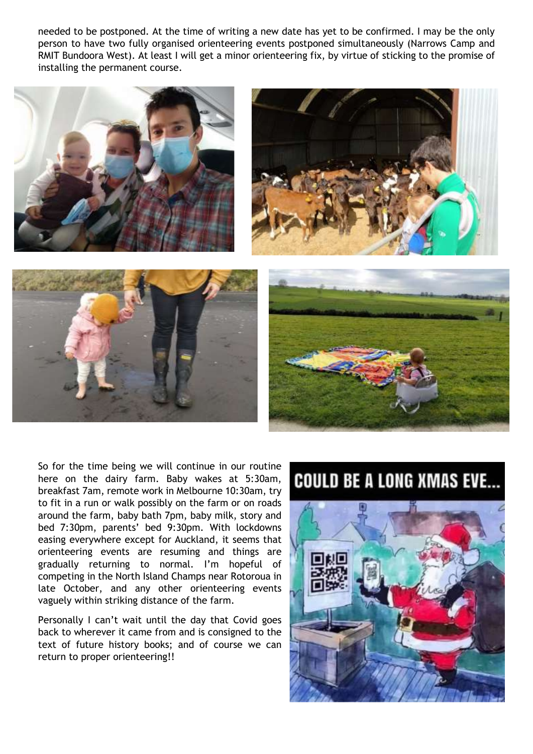needed to be postponed. At the time of writing a new date has yet to be confirmed. I may be the only person to have two fully organised orienteering events postponed simultaneously (Narrows Camp and RMIT Bundoora West). At least I will get a minor orienteering fix, by virtue of sticking to the promise of installing the permanent course.









So for the time being we will continue in our routine here on the dairy farm. Baby wakes at 5:30am, breakfast 7am, remote work in Melbourne 10:30am, try to fit in a run or walk possibly on the farm or on roads around the farm, baby bath 7pm, baby milk, story and bed 7:30pm, parents' bed 9:30pm. With lockdowns easing everywhere except for Auckland, it seems that orienteering events are resuming and things are gradually returning to normal. I'm hopeful of competing in the North Island Champs near Rotoroua in late October, and any other orienteering events vaguely within striking distance of the farm.

Personally I can't wait until the day that Covid goes back to wherever it came from and is consigned to the text of future history books; and of course we can return to proper orienteering!!

# **COULD BE A LONG XMAS EVE...**

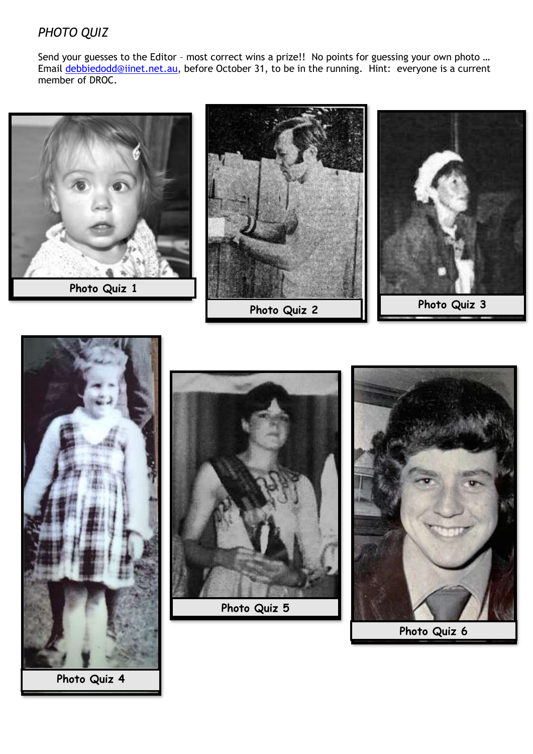# *PHOTO QUIZ*

Send your guesses to the Editor – most correct wins a prize!! No points for guessing your own photo … Email [debbiedodd@iinet.net.au,](mailto:debbiedodd@iinet.net.au) before October 31, to be in the running. Hint: everyone is a current member of DROC.









**Photo Quiz 4**



**Photo Quiz 5**